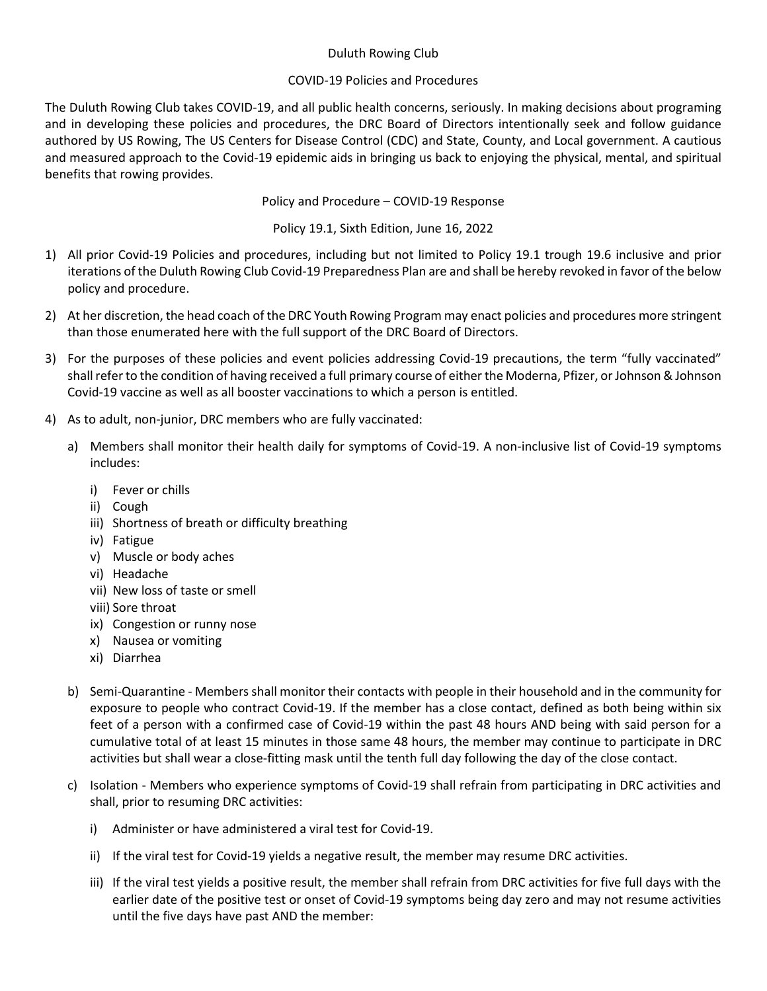## Duluth Rowing Club

## COVID-19 Policies and Procedures

The Duluth Rowing Club takes COVID-19, and all public health concerns, seriously. In making decisions about programing and in developing these policies and procedures, the DRC Board of Directors intentionally seek and follow guidance authored by US Rowing, The US Centers for Disease Control (CDC) and State, County, and Local government. A cautious and measured approach to the Covid-19 epidemic aids in bringing us back to enjoying the physical, mental, and spiritual benefits that rowing provides.

Policy and Procedure – COVID-19 Response

Policy 19.1, Sixth Edition, June 16, 2022

- 1) All prior Covid-19 Policies and procedures, including but not limited to Policy 19.1 trough 19.6 inclusive and prior iterations of the Duluth Rowing Club Covid-19 Preparedness Plan are and shall be hereby revoked in favor of the below policy and procedure.
- 2) At her discretion, the head coach of the DRC Youth Rowing Program may enact policies and procedures more stringent than those enumerated here with the full support of the DRC Board of Directors.
- 3) For the purposes of these policies and event policies addressing Covid-19 precautions, the term "fully vaccinated" shall refer to the condition of having received a full primary course of either the Moderna, Pfizer, or Johnson & Johnson Covid-19 vaccine as well as all booster vaccinations to which a person is entitled.
- 4) As to adult, non-junior, DRC members who are fully vaccinated:
	- a) Members shall monitor their health daily for symptoms of Covid-19. A non-inclusive list of Covid-19 symptoms includes:
		- i) Fever or chills
		- ii) Cough
		- iii) Shortness of breath or difficulty breathing
		- iv) Fatigue
		- v) Muscle or body aches
		- vi) Headache
		- vii) New loss of taste or smell
		- viii) Sore throat
		- ix) Congestion or runny nose
		- x) Nausea or vomiting
		- xi) Diarrhea
	- b) Semi-Quarantine Members shall monitor their contacts with people in their household and in the community for exposure to people who contract Covid-19. If the member has a close contact, defined as both being within six feet of a person with a confirmed case of Covid-19 within the past 48 hours AND being with said person for a cumulative total of at least 15 minutes in those same 48 hours, the member may continue to participate in DRC activities but shall wear a close-fitting mask until the tenth full day following the day of the close contact.
	- c) Isolation Members who experience symptoms of Covid-19 shall refrain from participating in DRC activities and shall, prior to resuming DRC activities:
		- i) Administer or have administered a viral test for Covid-19.
		- ii) If the viral test for Covid-19 yields a negative result, the member may resume DRC activities.
		- iii) If the viral test yields a positive result, the member shall refrain from DRC activities for five full days with the earlier date of the positive test or onset of Covid-19 symptoms being day zero and may not resume activities until the five days have past AND the member: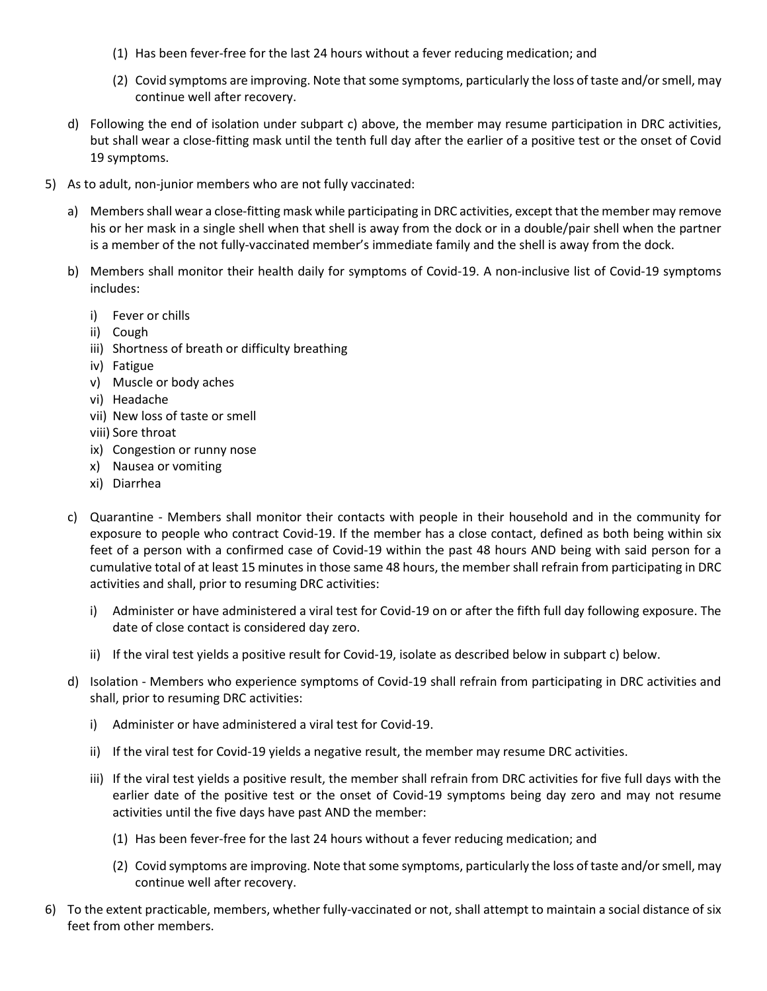- (1) Has been fever-free for the last 24 hours without a fever reducing medication; and
- (2) Covid symptoms are improving. Note that some symptoms, particularly the loss of taste and/or smell, may continue well after recovery.
- d) Following the end of isolation under subpart c) above, the member may resume participation in DRC activities, but shall wear a close-fitting mask until the tenth full day after the earlier of a positive test or the onset of Covid 19 symptoms.
- 5) As to adult, non-junior members who are not fully vaccinated:
	- a) Members shall wear a close-fitting mask while participating in DRC activities, except that the member may remove his or her mask in a single shell when that shell is away from the dock or in a double/pair shell when the partner is a member of the not fully-vaccinated member's immediate family and the shell is away from the dock.
	- b) Members shall monitor their health daily for symptoms of Covid-19. A non-inclusive list of Covid-19 symptoms includes:
		- i) Fever or chills
		- ii) Cough
		- iii) Shortness of breath or difficulty breathing
		- iv) Fatigue
		- v) Muscle or body aches
		- vi) Headache
		- vii) New loss of taste or smell
		- viii) Sore throat
		- ix) Congestion or runny nose
		- x) Nausea or vomiting
		- xi) Diarrhea
	- c) Quarantine Members shall monitor their contacts with people in their household and in the community for exposure to people who contract Covid-19. If the member has a close contact, defined as both being within six feet of a person with a confirmed case of Covid-19 within the past 48 hours AND being with said person for a cumulative total of at least 15 minutes in those same 48 hours, the member shall refrain from participating in DRC activities and shall, prior to resuming DRC activities:
		- i) Administer or have administered a viral test for Covid-19 on or after the fifth full day following exposure. The date of close contact is considered day zero.
		- ii) If the viral test yields a positive result for Covid-19, isolate as described below in subpart c) below.
	- d) Isolation Members who experience symptoms of Covid-19 shall refrain from participating in DRC activities and shall, prior to resuming DRC activities:
		- i) Administer or have administered a viral test for Covid-19.
		- ii) If the viral test for Covid-19 yields a negative result, the member may resume DRC activities.
		- iii) If the viral test yields a positive result, the member shall refrain from DRC activities for five full days with the earlier date of the positive test or the onset of Covid-19 symptoms being day zero and may not resume activities until the five days have past AND the member:
			- (1) Has been fever-free for the last 24 hours without a fever reducing medication; and
			- (2) Covid symptoms are improving. Note that some symptoms, particularly the loss of taste and/or smell, may continue well after recovery.
- 6) To the extent practicable, members, whether fully-vaccinated or not, shall attempt to maintain a social distance of six feet from other members.